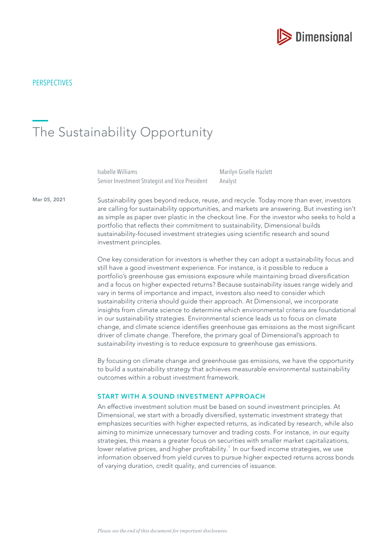

# The Sustainability Opportunity

Isabelle Williams Senior Investment Strategist and Vice President Marilyn Giselle Hazlett Analyst

Mar 05, 2021

Sustainability goes beyond reduce, reuse, and recycle. Today more than ever, investors are calling for sustainability opportunities, and markets are answering. But investing isn't as simple as paper over plastic in the checkout line. For the investor who seeks to hold a portfolio that refects their commitment to sustainability, Dimensional builds sustainability-focused investment strategies using scientific research and sound investment principles.

One key consideration for investors is whether they can adopt a sustainability focus and still have a good investment experience. For instance, is it possible to reduce a portfolio's greenhouse gas emissions exposure while maintaining broad diversifcation and a focus on higher expected returns? Because sustainability issues range widely and vary in terms of importance and impact, investors also need to consider which sustainability criteria should guide their approach. At Dimensional, we incorporate insights from climate science to determine which environmental criteria are foundational in our sustainability strategies. Environmental science leads us to focus on climate change, and climate science identifes greenhouse gas emissions as the most signifcant driver of climate change. Therefore, the primary goal of Dimensional's approach to sustainability investing is to reduce exposure to greenhouse gas emissions.

By focusing on climate change and greenhouse gas emissions, we have the opportunity to build a sustainability strategy that achieves measurable environmental sustainability outcomes within a robust investment framework.

#### START WITH A SOUND INVESTMENT APPROACH

An effective investment solution must be based on sound investment principles. At Dimensional, we start with a broadly diversifed, systematic investment strategy that emphasizes securities with higher expected returns, as indicated by research, while also aiming to minimize unnecessary turnover and trading costs. For instance, in our equity strategies, this means a greater focus on securities with smaller market capitalizations, lower relative prices, and higher profitability.<sup>1</sup> In our fixed income strategies, we use information observed from yield curves to pursue higher expected returns across bonds of varying duration, credit quality, and currencies of issuance.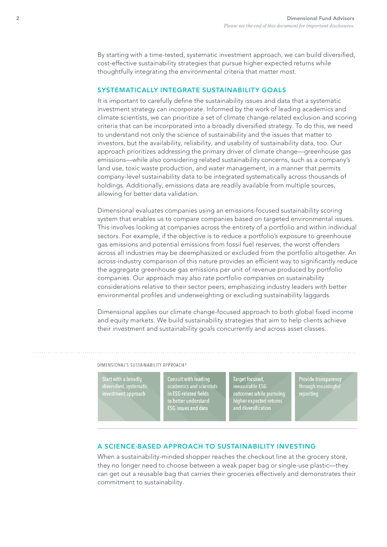By starting with a time-tested, systematic investment approach, we can build diversifed, cost-effective sustainability strategies that pursue higher expected returns while thoughtfully integrating the environmental criteria that matter most.

## SYSTEMATICALLY INTEGRATE SUSTAINABILITY GOALS

It is important to carefully defne the sustainability issues and data that a systematic investment strategy can incorporate. Informed by the work of leading academics and climate scientists, we can prioritize a set of climate change-related exclusion and scoring criteria that can be incorporated into a broadly diversifed strategy. To do this, we need to understand not only the science of sustainability and the issues that matter to investors, but the availability, reliability, and usability of sustainability data, too. Our approach prioritizes addressing the primary driver of climate change—greenhouse gas emissions—while also considering related sustainability concerns, such as a company's land use, toxic waste production, and water management, in a manner that permits company-level sustainability data to be integrated systematically across thousands of holdings. Additionally, emissions data are readily available from multiple sources, allowing for better data validation.

Dimensional evaluates companies using an emissions-focused sustainability scoring system that enables us to compare companies based on targeted environmental issues. This involves looking at companies across the entirety of a portfolio and within individual sectors. For example, if the objective is to reduce a portfolio's exposure to greenhouse gas emissions and potential emissions from fossil fuel reserves, the worst offenders across all industries may be deemphasized or excluded from the portfolio altogether. An across-industry comparison of this nature provides an efficient way to significantly reduce the aggregate greenhouse gas emissions per unit of revenue produced by portfolio companies. Our approach may also rate portfolio companies on sustainability considerations relative to their sector peers, emphasizing industry leaders with better environmental profiles and underweighting or excluding sustainability laggards.

Dimensional applies our climate change-focused approach to both global fixed income and equity markets. We build sustainability strategies that aim to help clients achieve their investment and sustainability goals concurrently and across asset classes.

DIMENSIONAL'S SUSTAINABILITY APPROACH<sup>2</sup>

**Start with a broadly** Start Hitler Broadty<br>diversified, systematic<br>investment approach Consult with leading<br>academics and scientists<br>in ESG-related fields<br>to better understand **ESG** issues and data

Target focused, mage recesser<br>measurable ESG<br>outcomes while pursuing<br>higher expected returns<br>and diversification Provide transparency<br>through meaningful

#### A SCIENCE-BASED APPROACH TO SUSTAINABILITY INVESTING

When a sustainability-minded shopper reaches the checkout line at the grocery store, they no longer need to choose between a weak paper bag or single-use plastic—they can get out a reusable bag that carries their groceries effectively and demonstrates their commitment to sustainability.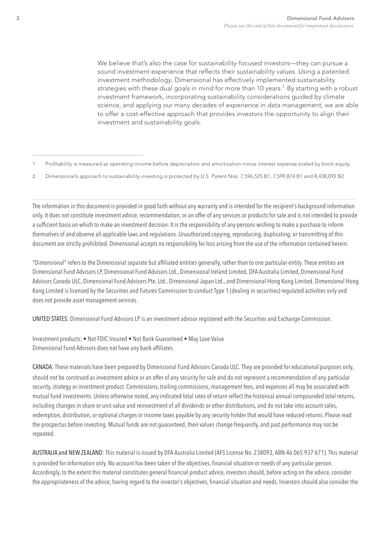We believe that's also the case for sustainability-focused investors—they can pursue a sound investment experience that reflects their sustainability values. Using a patented investment methodology, Dimensional has effectively implemented sustainability strategies with these dual goals in mind for more than 10 years.<sup>2</sup> By starting with a robust investment framework, incorporating sustainability considerations guided by climate science, and applying our many decades of experience in data management, we are able to offer a cost-effective approach that provides investors the opportunity to align their investment and sustainability goals.

The information in this document is provided in good faith without any warranty and is intended for the recipient's background information only. It does not constitute investment advice, recommendation, or an offer of any services or products for sale and is not intended to provide a sufficient basis on which to make an investment decision. It is the responsibility of any persons wishing to make a purchase to inform themselves of and observe all applicable laws and regulations. Unauthorized copying, reproducing, duplicating, or transmitting of this document are strictly prohibited. Dimensional accepts no responsibility for loss arising from the use of the information contained herein.

"Dimensional" refers to the Dimensional separate but affliated entities generally, rather than to one particular entity. These entities are Dimensional Fund Advisors LP, Dimensional Fund Advisors Ltd., Dimensional Ireland Limited, DFA Australia Limited, Dimensional Fund Advisors Canada ULC, Dimensional Fund Advisors Pte. Ltd., Dimensional Japan Ltd., and Dimensional Hong Kong Limited. Dimensional Hong Kong Limited is licensed by the Securities and Futures Commission to conduct Type 1 (dealing in securities) regulated activities only and does not provide asset management services.

UNITED STATES: Dimensional Fund Advisors LP is an investment advisor registered with the Securities and Exchange Commission.

Investment products: • Not FDIC Insured • Not Bank Guaranteed • May Lose Value Dimensional Fund Advisors does not have any bank affliates.

CANADA: These materials have been prepared by Dimensional Fund Advisors Canada ULC. They are provided for educational purposes only, should not be construed as investment advice or an offer of any security for sale and do not represent a recommendation of any particular security, strategy or investment product. Commissions, trailing commissions, management fees, and expenses all may be associated with mutual fund investments. Unless otherwise noted, any indicated total rates of return refect the historical annual compounded total returns, including changes in share or unit value and reinvestment of all dividends or other distributions, and do not take into account sales, redemption, distribution, or optional charges or income taxes payable by any security holder that would have reduced returns. Please read the prospectus before investing. Mutual funds are not guaranteed, their values change frequently, and past performance may not be repeated.

AUSTRALIA and NEW ZEALAND: This material is issued by DFA Australia Limited (AFS License No. 238093, ABN 46 065 937 671). This material is provided for information only. No account has been taken of the objectives, fnancial situation or needs of any particular person. Accordingly, to the extent this material constitutes general fnancial product advice, investors should, before acting on the advice, consider the appropriateness of the advice, having regard to the investor's objectives, fnancial situation and needs. Investors should also consider the

<sup>1.</sup> Proftability is measured as operating income before depreciation and amortization minus interest expense scaled by book equity.

<sup>2.</sup> Dimensional's approach to sustainability investing is protected by U.S. Patent Nos. 7,596,525 B1, 7,599,874 B1 and 8,438,092 B2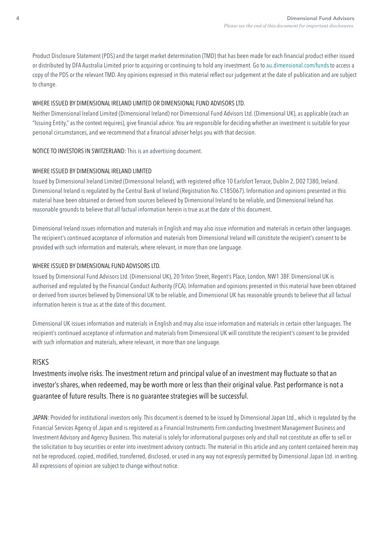Product Disclosure Statement (PDS) and the target market determination (TMD) that has been made for each fnancial product either issued or distributed by DFA Australia Limited prior to acquiring or continuing to hold any investment. Go to [au.dimensional.com/funds](https://au.dimensional.com/funds) to access a copy of the PDS or the relevant TMD. Any opinions expressed in this material refect our judgement at the date of publication and are subject to change.

### WHERE ISSUED BY DIMENSIONAL IRELAND LIMITED OR DIMENSIONAL FUND ADVISORS LTD.

Neither Dimensional Ireland Limited (Dimensional Ireland) nor Dimensional Fund Advisors Ltd. (Dimensional UK), as applicable (each an "Issuing Entity," as the context requires), give fnancial advice. You are responsible for deciding whether an investment is suitable for your personal circumstances, and we recommend that a financial adviser helps you with that decision.

NOTICE TO INVESTORS IN SWITZERLAND: This is an advertising document.

## WHERE ISSUED BY DIMENSIONAL IRELAND LIMITED

Issued by Dimensional Ireland Limited (Dimensional Ireland), with registered office 10 Earlsfort Terrace, Dublin 2, D02 T380, Ireland. Dimensional Ireland is regulated by the Central Bank of Ireland (Registration No. C185067). Information and opinions presented in this material have been obtained or derived from sources believed by Dimensional Ireland to be reliable, and Dimensional Ireland has reasonable grounds to believe that all factual information herein is true as at the date of this document.

Dimensional Ireland issues information and materials in English and may also issue information and materials in certain other languages. The recipient's continued acceptance of information and materials from Dimensional Ireland will constitute the recipient's consent to be provided with such information and materials, where relevant, in more than one language.

## WHERE ISSUED BY DIMENSIONAL FUND ADVISORS LTD.

Issued by Dimensional Fund Advisors Ltd. (Dimensional UK), 20 Triton Street, Regent's Place, London, NW1 3BF. Dimensional UK is authorised and regulated by the Financial Conduct Authority (FCA). Information and opinions presented in this material have been obtained or derived from sources believed by Dimensional UK to be reliable, and Dimensional UK has reasonable grounds to believe that all factual information herein is true as at the date of this document.

Dimensional UK issues information and materials in English and may also issue information and materials in certain other languages. The recipient's continued acceptance of information and materials from Dimensional UK will constitute the recipient's consent to be provided with such information and materials, where relevant, in more than one language.

# RISKS

Investments involve risks. The investment return and principal value of an investment may fuctuate so that an investor's shares, when redeemed, may be worth more or less than their original value. Past performance is not a guarantee of future results. There is no guarantee strategies will be successful.

JAPAN: Provided for institutional investors only. This document is deemed to be issued by Dimensional Japan Ltd., which is regulated by the Financial Services Agency of Japan and is registered as a Financial Instruments Firm conducting Investment Management Business and Investment Advisory and Agency Business. This material is solely for informational purposes only and shall not constitute an offer to sell or the solicitation to buy securities or enter into investment advisory contracts. The material in this article and any content contained herein may not be reproduced, copied, modifed, transferred, disclosed, or used in any way not expressly permitted by Dimensional Japan Ltd. in writing. All expressions of opinion are subject to change without notice.